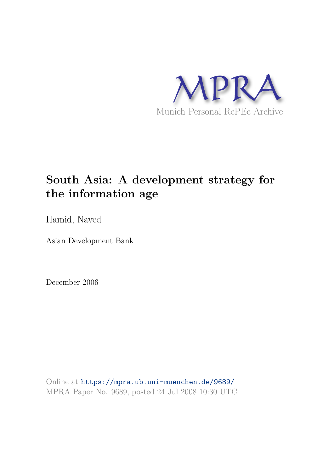

# **South Asia: A development strategy for the information age**

Hamid, Naved

Asian Development Bank

December 2006

Online at https://mpra.ub.uni-muenchen.de/9689/ MPRA Paper No. 9689, posted 24 Jul 2008 10:30 UTC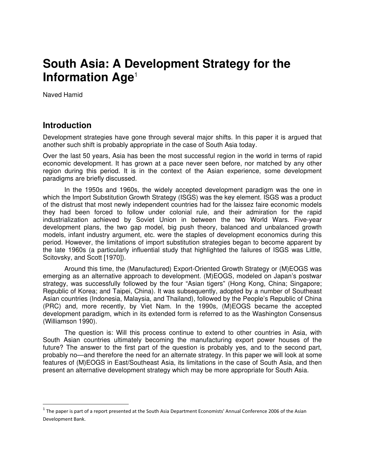## **South Asia: A Development Strategy for the Information Age**<sup>1</sup>

Naved Hamid

## **Introduction**

Development strategies have gone through several major shifts. In this paper it is argued that another such shift is probably appropriate in the case of South Asia today.

Over the last 50 years, Asia has been the most successful region in the world in terms of rapid economic development. It has grown at a pace never seen before, nor matched by any other region during this period. It is in the context of the Asian experience, some development paradigms are briefly discussed.

In the 1950s and 1960s, the widely accepted development paradigm was the one in which the Import Substitution Growth Strategy (ISGS) was the key element. ISGS was a product of the distrust that most newly independent countries had for the laissez faire economic models they had been forced to follow under colonial rule, and their admiration for the rapid industrialization achieved by Soviet Union in between the two World Wars. Five-year development plans, the two gap model, big push theory, balanced and unbalanced growth models, infant industry argument, etc. were the staples of development economics during this period. However, the limitations of import substitution strategies began to become apparent by the late 1960s (a particularly influential study that highlighted the failures of ISGS was Little, Scitovsky, and Scott [1970]).

Around this time, the (Manufactured) Export-Oriented Growth Strategy or (M)EOGS was emerging as an alternative approach to development. (M)EOGS, modeled on Japan's postwar strategy, was successfully followed by the four "Asian tigers" (Hong Kong, China; Singapore; Republic of Korea; and Taipei, China). It was subsequently, adopted by a number of Southeast Asian countries (Indonesia, Malaysia, and Thailand), followed by the People's Republic of China (PRC) and, more recently, by Viet Nam. In the 1990s, (M)EOGS became the accepted development paradigm, which in its extended form is referred to as the Washington Consensus (Williamson 1990).

The question is: Will this process continue to extend to other countries in Asia, with South Asian countries ultimately becoming the manufacturing export power houses of the future? The answer to the first part of the question is probably yes, and to the second part, probably no—and therefore the need for an alternate strategy. In this paper we will look at some features of (M)EOGS in East/Southeast Asia, its limitations in the case of South Asia, and then present an alternative development strategy which may be more appropriate for South Asia.

 $^1$  The paper is part of a report presented at the South Asia Department Economists' Annual Conference 2006 of the Asian Development Bank.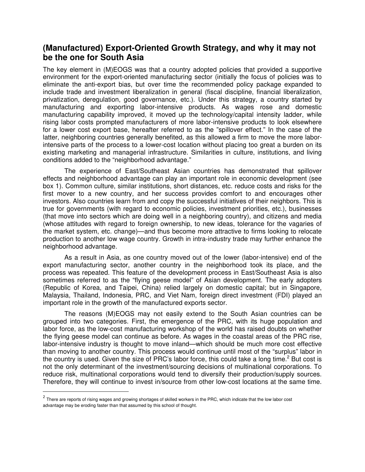## **(Manufactured) Export-Oriented Growth Strategy, and why it may not be the one for South Asia**

The key element in (M)EOGS was that a country adopted policies that provided a supportive environment for the export-oriented manufacturing sector (initially the focus of policies was to eliminate the anti-export bias, but over time the recommended policy package expanded to include trade and investment liberalization in general (fiscal discipline, financial liberalization, privatization, deregulation, good governance, etc.). Under this strategy, a country started by manufacturing and exporting labor-intensive products. As wages rose and domestic manufacturing capability improved, it moved up the technology/capital intensity ladder, while rising labor costs prompted manufacturers of more labor-intensive products to look elsewhere for a lower cost export base, hereafter referred to as the "spillover effect." In the case of the latter, neighboring countries generally benefited, as this allowed a firm to move the more laborintensive parts of the process to a lower-cost location without placing too great a burden on its existing marketing and managerial infrastructure. Similarities in culture, institutions, and living conditions added to the "neighborhood advantage."

The experience of East/Southeast Asian countries has demonstrated that spillover effects and neighborhood advantage can play an important role in economic development (see box 1). Common culture, similar institutions, short distances, etc. reduce costs and risks for the first mover to a new country, and her success provides comfort to and encourages other investors. Also countries learn from and copy the successful initiatives of their neighbors. This is true for governments (with regard to economic policies, investment priorities, etc.), businesses (that move into sectors which are doing well in a neighboring country), and citizens and media (whose attitudes with regard to foreign ownership, to new ideas, tolerance for the vagaries of the market system, etc. change)—and thus become more attractive to firms looking to relocate production to another low wage country. Growth in intra-industry trade may further enhance the neighborhood advantage.

As a result in Asia, as one country moved out of the lower (labor-intensive) end of the export manufacturing sector, another country in the neighborhood took its place, and the process was repeated. This feature of the development process in East/Southeast Asia is also sometimes referred to as the "flying geese model" of Asian development. The early adopters (Republic of Korea, and Taipei, China) relied largely on domestic capital; but in Singapore, Malaysia, Thailand, Indonesia, PRC, and Viet Nam, foreign direct investment (FDI) played an important role in the growth of the manufactured exports sector.

The reasons (M)EOGS may not easily extend to the South Asian countries can be grouped into two categories. First, the emergence of the PRC, with its huge population and labor force, as the low-cost manufacturing workshop of the world has raised doubts on whether the flying geese model can continue as before. As wages in the coastal areas of the PRC rise, labor-intensive industry is thought to move inland—which should be much more cost effective than moving to another country. This process would continue until most of the "surplus" labor in the country is used. Given the size of PRC's labor force, this could take a long time.<sup>2</sup> But cost is not the only determinant of the investment/sourcing decisions of multinational corporations. To reduce risk, multinational corporations would tend to diversify their production/supply sources. Therefore, they will continue to invest in/source from other low-cost locations at the same time.

 $^2$  There are reports of rising wages and growing shortages of skilled workers in the PRC, which indicate that the low labor cost advantage may be eroding faster than that assumed by this school of thought.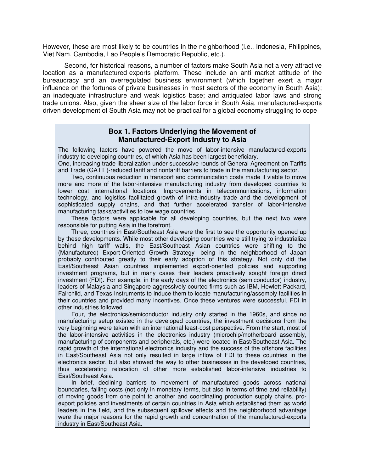However, these are most likely to be countries in the neighborhood (i.e., Indonesia, Philippines, Viet Nam, Cambodia, Lao People's Democratic Republic, etc.).

Second, for historical reasons, a number of factors make South Asia not a very attractive location as a manufactured-exports platform. These include an anti market attitude of the bureaucracy and an overregulated business environment (which together exert a major influence on the fortunes of private businesses in most sectors of the economy in South Asia); an inadequate infrastructure and weak logistics base; and antiquated labor laws and strong trade unions. Also, given the sheer size of the labor force in South Asia, manufactured-exports driven development of South Asia may not be practical for a global economy struggling to cope

#### **Box 1. Factors Underlying the Movement of Manufactured-Export Industry to Asia**

The following factors have powered the move of labor-intensive manufactured-exports industry to developing countries, of which Asia has been largest beneficiary. One, increasing trade liberalization under successive rounds of General Agreement on Tariffs and Trade (GATT )-reduced tariff and nontariff barriers to trade in the manufacturing sector.

 Two, continuous reduction in transport and communication costs made it viable to move more and more of the labor-intensive manufacturing industry from developed countries to lower cost international locations. Improvements in telecommunications, information technology, and logistics facilitated growth of intra-industry trade and the development of sophisticated supply chains, and that further accelerated transfer of labor-intensive manufacturing tasks/activities to low wage countries.

 These factors were applicable for all developing countries, but the next two were responsible for putting Asia in the forefront.

 Three, countries in East/Southeast Asia were the first to see the opportunity opened up by these developments. While most other developing countries were still trying to industrialize behind high tariff walls, the East/Southeast Asian countries were shifting to the (Manufactured) Export-Oriented Growth Strategy—being in the neighborhood of Japan probably contributed greatly to their early adoption of this strategy. Not only did the East/Southeast Asian countries implemented export-oriented policies and supporting investment programs, but in many cases their leaders proactively sought foreign direct investment (FDI). For example, in the early days of the electronics (semiconductor) industry, leaders of Malaysia and Singapore aggressively courted firms such as IBM, Hewlett-Packard, Fairchild, and Texas Instruments to induce them to locate manufacturing/assembly facilities in their countries and provided many incentives. Once these ventures were successful, FDI in other industries followed.

 Four, the electronics/semiconductor industry only started in the 1960s, and since no manufacturing setup existed in the developed countries, the investment decisions from the very beginning were taken with an international least-cost perspective. From the start, most of the labor-intensive activities in the electronics industry (microchip/motherboard assembly, manufacturing of components and peripherals, etc.) were located in East/Southeast Asia. The rapid growth of the international electronics industry and the success of the offshore facilities in East/Southeast Asia not only resulted in large inflow of FDI to these countries in the electronics sector, but also showed the way to other businesses in the developed countries, thus accelerating relocation of other more established labor-intensive industries to East/Southeast Asia.

 In brief, declining barriers to movement of manufactured goods across national boundaries, falling costs (not only in monetary terms, but also in terms of time and reliability) of moving goods from one point to another and coordinating production supply chains, proexport policies and investments of certain countries in Asia which established them as world leaders in the field, and the subsequent spillover effects and the neighborhood advantage were the major reasons for the rapid growth and concentration of the manufactured-exports industry in East/Southeast Asia.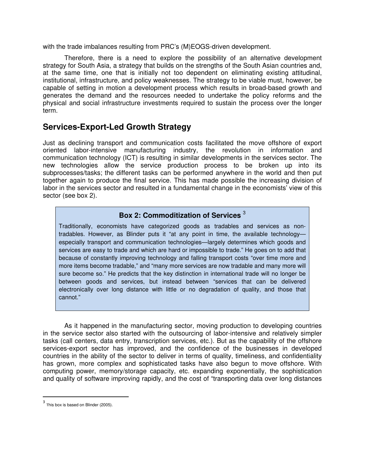with the trade imbalances resulting from PRC's (M)EOGS-driven development.

Therefore, there is a need to explore the possibility of an alternative development strategy for South Asia, a strategy that builds on the strengths of the South Asian countries and, at the same time, one that is initially not too dependent on eliminating existing attitudinal, institutional, infrastructure, and policy weaknesses. The strategy to be viable must, however, be capable of setting in motion a development process which results in broad-based growth and generates the demand and the resources needed to undertake the policy reforms and the physical and social infrastructure investments required to sustain the process over the longer term.

## **Services-Export-Led Growth Strategy**

Just as declining transport and communication costs facilitated the move offshore of export oriented labor-intensive manufacturing industry, the revolution in information and communication technology (ICT) is resulting in similar developments in the services sector. The new technologies allow the service production process to be broken up into its subprocesses/tasks; the different tasks can be performed anywhere in the world and then put together again to produce the final service. This has made possible the increasing division of labor in the services sector and resulted in a fundamental change in the economists' view of this sector (see box 2).

### **Box 2: Commoditization of Services** <sup>3</sup>

Traditionally, economists have categorized goods as tradables and services as nontradables. However, as Blinder puts it "at any point in time, the available technology especially transport and communication technologies—largely determines which goods and services are easy to trade and which are hard or impossible to trade." He goes on to add that because of constantly improving technology and falling transport costs "over time more and more items become tradable," and "many more services are now tradable and many more will sure become so." He predicts that the key distinction in international trade will no longer be between goods and services, but instead between "services that can be delivered electronically over long distance with little or no degradation of quality, and those that cannot."

As it happened in the manufacturing sector, moving production to developing countries in the service sector also started with the outsourcing of labor-intensive and relatively simpler tasks (call centers, data entry, transcription services, etc.). But as the capability of the offshore services-export sector has improved, and the confidence of the businesses in developed countries in the ability of the sector to deliver in terms of quality, timeliness, and confidentiality has grown, more complex and sophisticated tasks have also begun to move offshore. With computing power, memory/storage capacity, etc. expanding exponentially, the sophistication and quality of software improving rapidly, and the cost of "transporting data over long distances

 $3$  This box is based on Blinder (2005).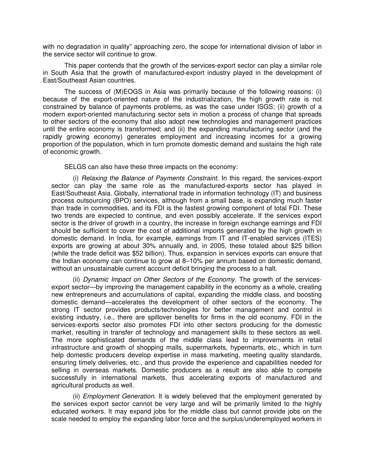with no degradation in quality" approaching zero, the scope for international division of labor in the service sector will continue to grow.

This paper contends that the growth of the services-export sector can play a similar role in South Asia that the growth of manufactured-export industry played in the development of East/Southeast Asian countries.

The success of (M)EOGS in Asia was primarily because of the following reasons: (i) because of the export-oriented nature of the industrialization, the high growth rate is not constrained by balance of payments problems, as was the case under ISGS; (ii) growth of a modern export-oriented manufacturing sector sets in motion a process of change that spreads to other sectors of the economy that also adopt new technologies and management practices until the entire economy is transformed; and (ii) the expanding manufacturing sector (and the rapidly growing economy) generates employment and increasing incomes for a growing proportion of the population, which in turn promote domestic demand and sustains the high rate of economic growth.

SELGS can also have these three impacts on the economy:

(i) Relaxing the Balance of Payments Constraint. In this regard, the services-export sector can play the same role as the manufactured-exports sector has played in East/Southeast Asia. Globally, international trade in information technology (IT) and business process outsourcing (BPO) services, although from a small base, is expanding much faster than trade in commodities, and its FDI is the fastest growing component of total FDI. These two trends are expected to continue, and even possibly accelerate. If the services export sector is the driver of growth in a country, the increase in foreign exchange earnings and FDI should be sufficient to cover the cost of additional imports generated by the high growth in domestic demand. In India, for example, earnings from IT and IT-enabled services (ITES) exports are growing at about 30% annually and, in 2005, these totaled about \$25 billion (while the trade deficit was \$52 billion). Thus, expansion in services exports can ensure that the Indian economy can continue to grow at 8–10% per annum based on domestic demand, without an unsustainable current account deficit bringing the process to a halt.

(ii) Dynamic Impact on Other Sectors of the Economy. The growth of the servicesexport sector—by improving the management capability in the economy as a whole, creating new entrepreneurs and accumulations of capital, expanding the middle class, and boosting domestic demand—accelerates the development of other sectors of the economy. The strong IT sector provides products/technologies for better management and control in existing industry, i.e., there are spillover benefits for firms in the old economy. FDI in the services-exports sector also promotes FDI into other sectors producing for the domestic market, resulting in transfer of technology and management skills to these sectors as well. The more sophisticated demands of the middle class lead to improvements in retail infrastructure and growth of shopping malls, supermarkets, hypermarts, etc., which in turn help domestic producers develop expertise in mass marketing, meeting quality standards, ensuring timely deliveries, etc., and thus provide the experience and capabilities needed for selling in overseas markets. Domestic producers as a result are also able to compete successfully in international markets, thus accelerating exports of manufactured and agricultural products as well.

(ii) *Employment Generation*. It is widely believed that the employment generated by the services export sector cannot be very large and will be primarily limited to the highly educated workers. It may expand jobs for the middle class but cannot provide jobs on the scale needed to employ the expanding labor force and the surplus/underemployed workers in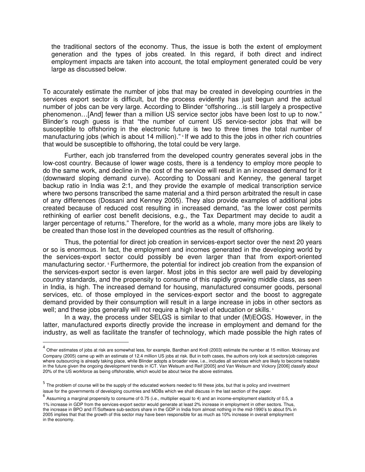the traditional sectors of the economy. Thus, the issue is both the extent of employment generation and the types of jobs created. In this regard, if both direct and indirect employment impacts are taken into account, the total employment generated could be very large as discussed below.

To accurately estimate the number of jobs that may be created in developing countries in the services export sector is difficult, but the process evidently has just begun and the actual number of jobs can be very large. According to Blinder "offshoring…is still largely a prospective phenomenon…[And] fewer than a million US service sector jobs have been lost to up to now." Blinder's rough guess is that "the number of current US service-sector jobs that will be susceptible to offshoring in the electronic future is two to three times the total number of manufacturing jobs (which is about 14 million)." <sup>4</sup> If we add to this the jobs in other rich countries that would be susceptible to offshoring, the total could be very large.

Further, each job transferred from the developed country generates several jobs in the low-cost country. Because of lower wage costs, there is a tendency to employ more people to do the same work, and decline in the cost of the service will result in an increased demand for it (downward sloping demand curve). According to Dossani and Kenney, the general target backup ratio in India was 2:1, and they provide the example of medical transcription service where two persons transcribed the same material and a third person arbitrated the result in case of any differences (Dossani and Kenney 2005). They also provide examples of additional jobs created because of reduced cost resulting in increased demand, "as the lower cost permits rethinking of earlier cost benefit decisions, e.g., the Tax Department may decide to audit a larger percentage of returns." Therefore, for the world as a whole, many more jobs are likely to be created than those lost in the developed countries as the result of offshoring.

Thus, the potential for direct job creation in services-export sector over the next 20 years or so is enormous. In fact, the employment and incomes generated in the developing world by the services-export sector could possibly be even larger than that from export-oriented manufacturing sector. <sup>5</sup> Furthermore, the potential for indirect job creation from the expansion of the services-export sector is even larger. Most jobs in this sector are well paid by developing country standards, and the propensity to consume of this rapidly growing middle class, as seen in India, is high. The increased demand for housing, manufactured consumer goods, personal services, etc. of those employed in the services-export sector and the boost to aggregate demand provided by their consumption will result in a large increase in jobs in other sectors as well; and these jobs generally will not require a high level of education or skills. <sup>6</sup>

In a way, the process under SELGS is similar to that under (M)EOGS. However, in the latter, manufactured exports directly provide the increase in employment and demand for the industry, as well as facilitate the transfer of technology, which made possible the high rates of

 $^4$  Other estimates of jobs at risk are somewhat less, for example, Bardhan and Kroll (2003) estimate the number at 15 million. Mckinsey and Company (2005) came up with an estimate of 12.4 million US jobs at risk. But in both cases, the authors only look at sectors/job categories where outsourcing is already taking place, while Blinder adopts a broader view, i.e., includes all services which are likely to become tradable in the future given the ongoing development trends in ICT. Van Welsum and Reif [2005] and Van Welsum and Vickory [2006] classify about 20% of the US workforce as being offshorable, which would be about twice the above estimates.

<sup>&</sup>lt;sup>5</sup> The problem of course will be the supply of the educated workers needed to fill these jobs, but that is policy and investment issue for the governments of developing countries and MDBs which we shall discuss in the last section of the paper.

<sup>&</sup>lt;sup>6</sup> Assuming a marginal propensity to consume of 0.75 (i.e., multiplier equal to 4) and an income-employment elasticity of 0.5, a 1% increase in GDP from the services-export sector would generate at least 2% increase in employment in other sectors. Thus, the increase in BPO and IT/Software sub-sectors share in the GDP in India from almost nothing in the mid-1990's to about 5% in 2005 implies that that the growth of this sector may have been responsible for as much as 10% increase in overall employment in the economy.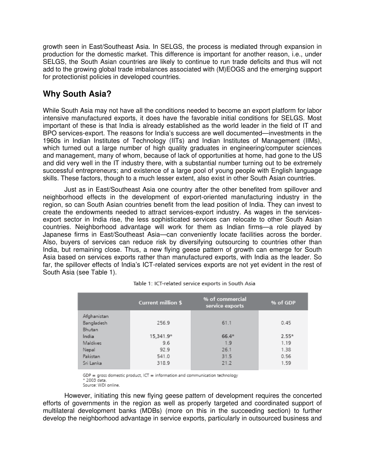growth seen in East/Southeast Asia. In SELGS, the process is mediated through expansion in production for the domestic market. This difference is important for another reason, i.e., under SELGS, the South Asian countries are likely to continue to run trade deficits and thus will not add to the growing global trade imbalances associated with (M)EOGS and the emerging support for protectionist policies in developed countries.

## **Why South Asia?**

While South Asia may not have all the conditions needed to become an export platform for labor intensive manufactured exports, it does have the favorable initial conditions for SELGS. Most important of these is that India is already established as the world leader in the field of IT and BPO services-export. The reasons for India's success are well documented—investments in the 1960s in Indian Institutes of Technology (IITs) and Indian Institutes of Management (IIMs), which turned out a large number of high quality graduates in engineering/computer sciences and management, many of whom, because of lack of opportunities at home, had gone to the US and did very well in the IT industry there, with a substantial number turning out to be extremely successful entrepreneurs; and existence of a large pool of young people with English language skills. These factors, though to a much lesser extent, also exist in other South Asian countries.

Just as in East/Southeast Asia one country after the other benefited from spillover and neighborhood effects in the development of export-oriented manufacturing industry in the region, so can South Asian countries benefit from the lead position of India. They can invest to create the endowments needed to attract services-export industry. As wages in the servicesexport sector in India rise, the less sophisticated services can relocate to other South Asian countries. Neighborhood advantage will work for them as Indian firms—a role played by Japanese firms in East/Southeast Asia—can conveniently locate facilities across the border. Also, buyers of services can reduce risk by diversifying outsourcing to countries other than India, but remaining close. Thus, a new flying geese pattern of growth can emerge for South Asia based on services exports rather than manufactured exports, with India as the leader. So far, the spillover effects of India's ICT-related services exports are not yet evident in the rest of South Asia (see Table 1).

|             | <b>Current million \$</b> | % of commercial<br>service exports | % of GDP |
|-------------|---------------------------|------------------------------------|----------|
| Afghanistan |                           |                                    |          |
| Bangladesh  | 256.9                     | 61.1                               | 0.45     |
| Bhutan      |                           |                                    |          |
| India       | 15,341.9*                 | $66.4*$                            | $2.55*$  |
| Maldives    | 9.6                       | 1.9                                | 1.19     |
| Nepal       | 92.9                      | 26.1                               | 1.38     |
| Pakistan    | 541.0                     | 31.5                               | 0.56     |
| Sri Lanka   | 318.9                     | 21.2                               | 1.59     |

Table 1: ICT-related service exports in South Asia

GDP = gross domestic product, ICT = information and communication technology \* 2003 data. Source: WDI online.

However, initiating this new flying geese pattern of development requires the concerted efforts of governments in the region as well as properly targeted and coordinated support of multilateral development banks (MDBs) (more on this in the succeeding section) to further develop the neighborhood advantage in service exports, particularly in outsourced business and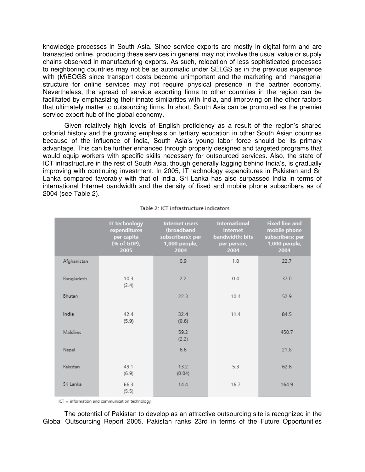knowledge processes in South Asia. Since service exports are mostly in digital form and are transacted online, producing these services in general may not involve the usual value or supply chains observed in manufacturing exports. As such, relocation of less sophisticated processes to neighboring countries may not be as automatic under SELGS as in the previous experience with (M)EOGS since transport costs become unimportant and the marketing and managerial structure for online services may not require physical presence in the partner economy. Nevertheless, the spread of service exporting firms to other countries in the region can be facilitated by emphasizing their innate similarities with India, and improving on the other factors that ultimately matter to outsourcing firms. In short, South Asia can be promoted as the premier service export hub of the global economy.

Given relatively high levels of English proficiency as a result of the region's shared colonial history and the growing emphasis on tertiary education in other South Asian countries because of the influence of India, South Asia's young labor force should be its primary advantage. This can be further enhanced through properly designed and targeted programs that would equip workers with specific skills necessary for outsourced services. Also, the state of ICT infrastructure in the rest of South Asia, though generally lagging behind India's, is gradually improving with continuing investment. In 2005, IT technology expenditures in Pakistan and Sri Lanka compared favorably with that of India. Sri Lanka has also surpassed India in terms of international Internet bandwidth and the density of fixed and mobile phone subscribers as of 2004 (see Table 2).

|             | IT technology<br>expenditures<br>per capita<br>(% of GDP),<br>2005 | <b>Internet users</b><br>(broadband<br>subscribers); per<br>1,000 people,<br>2004 | <b>International</b><br>internet<br>bandwidth; bits<br>per person,<br>2004 | <b>Fixed line and</b><br>mobile phone<br>subscribers; per<br>1,000 people,<br>2004 |
|-------------|--------------------------------------------------------------------|-----------------------------------------------------------------------------------|----------------------------------------------------------------------------|------------------------------------------------------------------------------------|
| Afghanistan |                                                                    | 0.9                                                                               | 1.0                                                                        | 22.7                                                                               |
| Bangladesh  | 10.3<br>(2.4)                                                      | 2.2                                                                               | 0.4                                                                        | 37.0                                                                               |
| Bhutan      |                                                                    | 22.3                                                                              | 10.4                                                                       | 52.9                                                                               |
| India       | 42.4<br>(5.9)                                                      | 32.4<br>(0.6)                                                                     | 11.4                                                                       | 84.5                                                                               |
| Maldives    |                                                                    | 59.2<br>(2.2)                                                                     |                                                                            | 450.7                                                                              |
| Nepal       |                                                                    | 6.6                                                                               |                                                                            | 21.8                                                                               |
| Pakistan    | 49.1<br>(6.9)                                                      | 13.2<br>(0.04)                                                                    | 5.3                                                                        | 62.6                                                                               |
| Sri Lanka   | 66.3<br>(5.5)                                                      | 14.4                                                                              | 16.7                                                                       | 164.9                                                                              |

#### Table 2: ICT infrastructure indicators

 $ICT = information and communication technology.$ 

The potential of Pakistan to develop as an attractive outsourcing site is recognized in the Global Outsourcing Report 2005. Pakistan ranks 23rd in terms of the Future Opportunities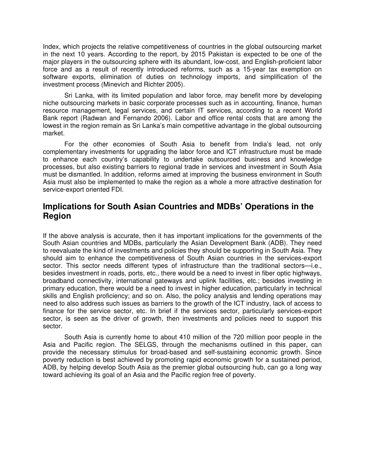Index, which projects the relative competitiveness of countries in the global outsourcing market in the next 10 years. According to the report, by 2015 Pakistan is expected to be one of the major players in the outsourcing sphere with its abundant, low-cost, and English-proficient labor force and as a result of recently introduced reforms, such as a 15-year tax exemption on software exports, elimination of duties on technology imports, and simplification of the investment process (Minevich and Richter 2005).

Sri Lanka, with its limited population and labor force, may benefit more by developing niche outsourcing markets in basic corporate processes such as in accounting, finance, human resource management, legal services, and certain IT services, according to a recent World Bank report (Radwan and Fernando 2006). Labor and office rental costs that are among the lowest in the region remain as Sri Lanka's main competitive advantage in the global outsourcing market.

For the other economies of South Asia to benefit from India's lead, not only complementary investments for upgrading the labor force and ICT infrastructure must be made to enhance each country's capability to undertake outsourced business and knowledge processes, but also existing barriers to regional trade in services and investment in South Asia must be dismantled. In addition, reforms aimed at improving the business environment in South Asia must also be implemented to make the region as a whole a more attractive destination for service-export oriented FDI.

## **Implications for South Asian Countries and MDBs' Operations in the Region**

If the above analysis is accurate, then it has important implications for the governments of the South Asian countries and MDBs, particularly the Asian Development Bank (ADB). They need to reevaluate the kind of investments and policies they should be supporting in South Asia. They should aim to enhance the competitiveness of South Asian countries in the services-export sector. This sector needs different types of infrastructure than the traditional sectors—i.e., besides investment in roads, ports, etc., there would be a need to invest in fiber optic highways, broadband connectivity, international gateways and uplink facilities, etc.; besides investing in primary education, there would be a need to invest in higher education, particularly in technical skills and English proficiency; and so on. Also, the policy analysis and lending operations may need to also address such issues as barriers to the growth of the ICT industry, lack of access to finance for the service sector, etc. In brief if the services sector, particularly services-export sector, is seen as the driver of growth, then investments and policies need to support this sector.

South Asia is currently home to about 410 million of the 720 million poor people in the Asia and Pacific region. The SELGS, through the mechanisms outlined in this paper, can provide the necessary stimulus for broad-based and self-sustaining economic growth. Since poverty reduction is best achieved by promoting rapid economic growth for a sustained period, ADB, by helping develop South Asia as the premier global outsourcing hub, can go a long way toward achieving its goal of an Asia and the Pacific region free of poverty.